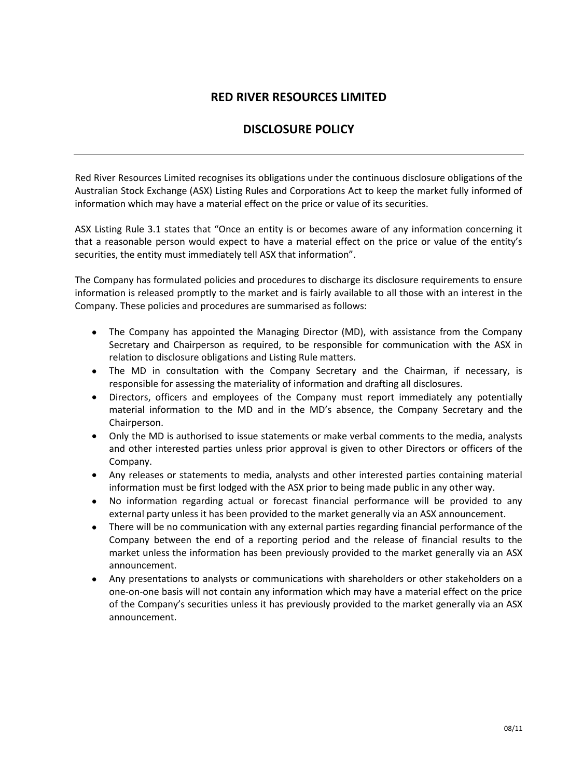## **RED RIVER RESOURCES LIMITED**

## **DISCLOSURE POLICY**

Red River Resources Limited recognises its obligations under the continuous disclosure obligations of the Australian Stock Exchange (ASX) Listing Rules and Corporations Act to keep the market fully informed of information which may have a material effect on the price or value of its securities.

ASX Listing Rule 3.1 states that "Once an entity is or becomes aware of any information concerning it that a reasonable person would expect to have a material effect on the price or value of the entity's securities, the entity must immediately tell ASX that information".

The Company has formulated policies and procedures to discharge its disclosure requirements to ensure information is released promptly to the market and is fairly available to all those with an interest in the Company. These policies and procedures are summarised as follows:

- $\bullet$ The Company has appointed the Managing Director (MD), with assistance from the Company Secretary and Chairperson as required, to be responsible for communication with the ASX in relation to disclosure obligations and Listing Rule matters.
- $\bullet$ The MD in consultation with the Company Secretary and the Chairman, if necessary, is responsible for assessing the materiality of information and drafting all disclosures.
- Directors, officers and employees of the Company must report immediately any potentially  $\bullet$ material information to the MD and in the MD's absence, the Company Secretary and the Chairperson.
- Only the MD is authorised to issue statements or make verbal comments to the media, analysts and other interested parties unless prior approval is given to other Directors or officers of the Company.
- Any releases or statements to media, analysts and other interested parties containing material information must be first lodged with the ASX prior to being made public in any other way.
- No information regarding actual or forecast financial performance will be provided to any external party unless it has been provided to the market generally via an ASX announcement.
- There will be no communication with any external parties regarding financial performance of the Company between the end of a reporting period and the release of financial results to the market unless the information has been previously provided to the market generally via an ASX announcement.
- Any presentations to analysts or communications with shareholders or other stakeholders on a one-on-one basis will not contain any information which may have a material effect on the price of the Company's securities unless it has previously provided to the market generally via an ASX announcement.